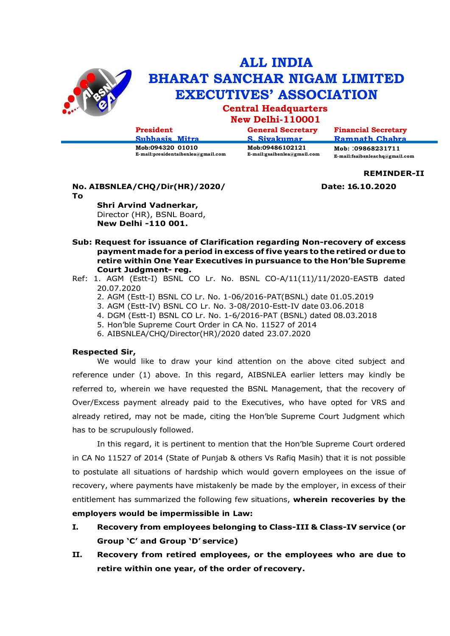

# **ALL INDIA BHARAT SANCHAR NIGAM LIMITED EXECUTIVES' ASSOCIATION**

# **Central Headquarters**

# **New Delhi-110001**

| President                                                | <b>General Secretary</b>                          | <b>Financial Secretary</b>                             |
|----------------------------------------------------------|---------------------------------------------------|--------------------------------------------------------|
| Subhasis Mitra                                           | S Sivakumar                                       | Ramnath Chahra                                         |
| Mob:094320 01010<br>$E-mail:presidentaibsnlea@gmail.com$ | Mob:09486102121<br>$E$ -mail:gsaibsnlea@gmail.com | Mob: :09868231711<br>$E$ -mail:fsaibsnleachq@gmail.com |

## **No. AIBSNLEA/CHQ/Dir(HR)/2020/ Date: 16.10.2020**

**REMINDER-II**

**To**

**Shri Arvind Vadnerkar,**  Director (HR), BSNL Board, **New Delhi -110 001.**

- **Sub: Request for issuance of Clarification regarding Non-recovery of excess paymentmade for a period in excess of five years to the retired or due to retire within One Year Executives in pursuance to the Hon'ble Supreme Court Judgment- reg.**
- Ref: 1. AGM (Estt-I) BSNL CO Lr. No. BSNL CO-A/11(11)/11/2020-EASTB dated 20.07.2020
	- 2. AGM (Estt-I) BSNL CO Lr. No. 1-06/2016-PAT(BSNL) date 01.05.2019
	- 3. AGM (Estt-IV) BSNL CO Lr. No. 3-08/2010-Estt-IV date 03.06.2018
	- 4. DGM (Estt-I) BSNL CO Lr. No. 1-6/2016-PAT (BSNL) dated 08.03.2018
	- 5. Hon'ble Supreme Court Order in CA No. 11527 of 2014
	- 6. AIBSNLEA/CHQ/Director(HR)/2020 dated 23.07.2020

### **Respected Sir,**

We would like to draw your kind attention on the above cited subject and reference under (1) above. In this regard, AIBSNLEA earlier letters may kindly be referred to, wherein we have requested the BSNL Management, that the recovery of Over/Excess payment already paid to the Executives, who have opted for VRS and already retired, may not be made, citing the Hon'ble Supreme Court Judgment which has to be scrupulously followed.

In this regard, it is pertinent to mention that the Hon'ble Supreme Court ordered in CA No 11527 of 2014 (State of Punjab & others Vs Rafiq Masih) that it is not possible to postulate all situations of hardship which would govern employees on the issue of recovery, where payments have mistakenly be made by the employer, in excess of their entitlement has summarized the following few situations, **wherein recoveries by the employers would be impermissible in Law:**

- **I. Recovery from employees belonging to Class-III & Class-IV service (or Group 'C' and Group 'D' service)**
- **II. Recovery from retired employees, or the employees who are due to retire within one year, of the order of recovery.**